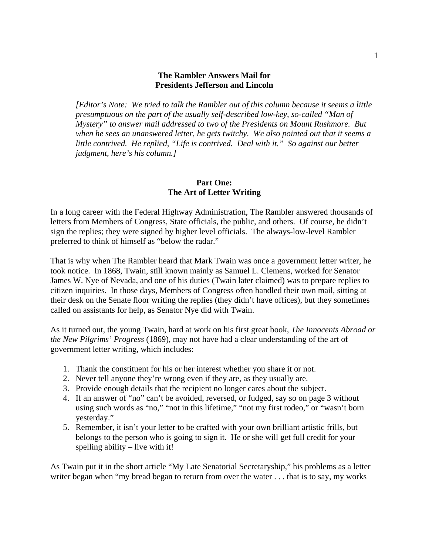#### **The Rambler Answers Mail for Presidents Jefferson and Lincoln**

*[Editor's Note: We tried to talk the Rambler out of this column because it seems a little presumptuous on the part of the usually self-described low-key, so-called "Man of Mystery" to answer mail addressed to two of the Presidents on Mount Rushmore. But when he sees an unanswered letter, he gets twitchy. We also pointed out that it seems a little contrived. He replied, "Life is contrived. Deal with it." So against our better judgment, here's his column.]* 

### **Part One: The Art of Letter Writing**

In a long career with the Federal Highway Administration, The Rambler answered thousands of letters from Members of Congress, State officials, the public, and others. Of course, he didn't sign the replies; they were signed by higher level officials. The always-low-level Rambler preferred to think of himself as "below the radar."

That is why when The Rambler heard that Mark Twain was once a government letter writer, he took notice. In 1868, Twain, still known mainly as Samuel L. Clemens, worked for Senator James W. Nye of Nevada, and one of his duties (Twain later claimed) was to prepare replies to citizen inquiries. In those days, Members of Congress often handled their own mail, sitting at their desk on the Senate floor writing the replies (they didn't have offices), but they sometimes called on assistants for help, as Senator Nye did with Twain.

As it turned out, the young Twain, hard at work on his first great book, *The Innocents Abroad or the New Pilgrims' Progress* (1869), may not have had a clear understanding of the art of government letter writing, which includes:

- 1. Thank the constituent for his or her interest whether you share it or not.
- 2. Never tell anyone they're wrong even if they are, as they usually are.
- 3. Provide enough details that the recipient no longer cares about the subject.
- 4. If an answer of "no" can't be avoided, reversed, or fudged, say so on page 3 without using such words as "no," "not in this lifetime," "not my first rodeo," or "wasn't born yesterday."
- 5. Remember, it isn't your letter to be crafted with your own brilliant artistic frills, but belongs to the person who is going to sign it. He or she will get full credit for your spelling ability – live with it!

As Twain put it in the short article "My Late Senatorial Secretaryship," his problems as a letter writer began when "my bread began to return from over the water . . . that is to say, my works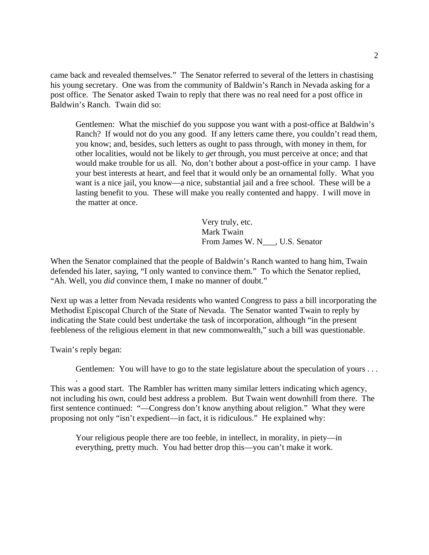came back and revealed themselves." The Senator referred to several of the letters in chastising his young secretary. One was from the community of Baldwin's Ranch in Nevada asking for a post office. The Senator asked Twain to reply that there was no real need for a post office in Baldwin's Ranch. Twain did so:

Gentlemen: What the mischief do you suppose you want with a post-office at Baldwin's Ranch? If would not do you any good. If any letters came there, you couldn't read them, you know; and, besides, such letters as ought to pass through, with money in them, for other localities, would not be likely to *get* through, you must perceive at once; and that would make trouble for us all. No, don't bother about a post-office in your camp. I have your best interests at heart, and feel that it would only be an ornamental folly. What you want is a nice jail, you know—a nice, substantial jail and a free school. These will be a lasting benefit to you. These will make you really contented and happy. I will move in the matter at once.

> Very truly, etc. Mark Twain From James W. N<sub>\_\_\_</sub>, U.S. Senator

When the Senator complained that the people of Baldwin's Ranch wanted to hang him, Twain defended his later, saying, "I only wanted to convince them." To which the Senator replied, "Ah. Well, you *did* convince them, I make no manner of doubt."

Next up was a letter from Nevada residents who wanted Congress to pass a bill incorporating the Methodist Episcopal Church of the State of Nevada. The Senator wanted Twain to reply by indicating the State could best undertake the task of incorporation, although "in the present feebleness of the religious element in that new commonwealth," such a bill was questionable.

Twain's reply began:

.

Gentlemen: You will have to go to the state legislature about the speculation of yours . . .

This was a good start. The Rambler has written many similar letters indicating which agency, not including his own, could best address a problem. But Twain went downhill from there. The first sentence continued: "—Congress don't know anything about religion." What they were proposing not only "isn't expedient—in fact, it is ridiculous." He explained why:

Your religious people there are too feeble, in intellect, in morality, in piety—in everything, pretty much. You had better drop this—you can't make it work.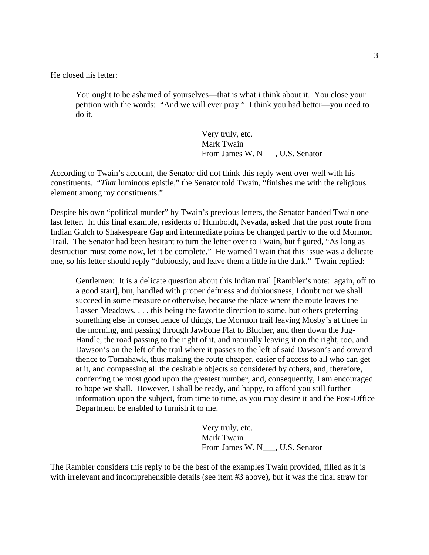He closed his letter:

You ought to be ashamed of yourselves—that is what *I* think about it. You close your petition with the words: "And we will ever pray." I think you had better—you need to do it.

> Very truly, etc. Mark Twain From James W. N\_\_\_, U.S. Senator

According to Twain's account, the Senator did not think this reply went over well with his constituents. "*That* luminous epistle," the Senator told Twain, "finishes me with the religious element among my constituents."

Despite his own "political murder" by Twain's previous letters, the Senator handed Twain one last letter. In this final example, residents of Humboldt, Nevada, asked that the post route from Indian Gulch to Shakespeare Gap and intermediate points be changed partly to the old Mormon Trail. The Senator had been hesitant to turn the letter over to Twain, but figured, "As long as destruction must come now, let it be complete." He warned Twain that this issue was a delicate one, so his letter should reply "dubiously, and leave them a little in the dark." Twain replied:

Gentlemen: It is a delicate question about this Indian trail [Rambler's note: again, off to a good start], but, handled with proper deftness and dubiousness, I doubt not we shall succeed in some measure or otherwise, because the place where the route leaves the Lassen Meadows, . . . this being the favorite direction to some, but others preferring something else in consequence of things, the Mormon trail leaving Mosby's at three in the morning, and passing through Jawbone Flat to Blucher, and then down the Jug-Handle, the road passing to the right of it, and naturally leaving it on the right, too, and Dawson's on the left of the trail where it passes to the left of said Dawson's and onward thence to Tomahawk, thus making the route cheaper, easier of access to all who can get at it, and compassing all the desirable objects so considered by others, and, therefore, conferring the most good upon the greatest number, and, consequently, I am encouraged to hope we shall. However, I shall be ready, and happy, to afford you still further information upon the subject, from time to time, as you may desire it and the Post-Office Department be enabled to furnish it to me.

> Very truly, etc. Mark Twain From James W. N\_\_\_, U.S. Senator

The Rambler considers this reply to be the best of the examples Twain provided, filled as it is with irrelevant and incomprehensible details (see item #3 above), but it was the final straw for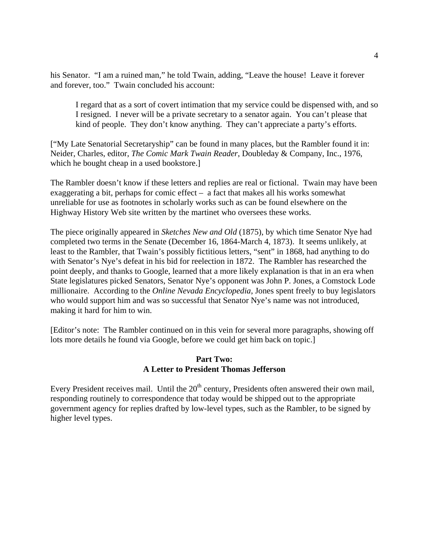his Senator. "I am a ruined man," he told Twain, adding, "Leave the house! Leave it forever and forever, too." Twain concluded his account:

I regard that as a sort of covert intimation that my service could be dispensed with, and so I resigned. I never will be a private secretary to a senator again. You can't please that kind of people. They don't know anything. They can't appreciate a party's efforts.

["My Late Senatorial Secretaryship" can be found in many places, but the Rambler found it in: Neider, Charles, editor, *The Comic Mark Twain Reader*, Doubleday & Company, Inc., 1976, which he bought cheap in a used bookstore.]

The Rambler doesn't know if these letters and replies are real or fictional. Twain may have been exaggerating a bit, perhaps for comic effect – a fact that makes all his works somewhat unreliable for use as footnotes in scholarly works such as can be found elsewhere on the Highway History Web site written by the martinet who oversees these works.

The piece originally appeared in *Sketches New and Old* (1875), by which time Senator Nye had completed two terms in the Senate (December 16, 1864-March 4, 1873). It seems unlikely, at least to the Rambler, that Twain's possibly fictitious letters, "sent" in 1868, had anything to do with Senator's Nye's defeat in his bid for reelection in 1872. The Rambler has researched the point deeply, and thanks to Google, learned that a more likely explanation is that in an era when State legislatures picked Senators, Senator Nye's opponent was John P. Jones, a Comstock Lode millionaire. According to the *Online Nevada Encyclopedia*, Jones spent freely to buy legislators who would support him and was so successful that Senator Nye's name was not introduced, making it hard for him to win.

[Editor's note: The Rambler continued on in this vein for several more paragraphs, showing off lots more details he found via Google, before we could get him back on topic.]

# **Part Two: A Letter to President Thomas Jefferson**

Every President receives mail. Until the 20<sup>th</sup> century, Presidents often answered their own mail, responding routinely to correspondence that today would be shipped out to the appropriate government agency for replies drafted by low-level types, such as the Rambler, to be signed by higher level types.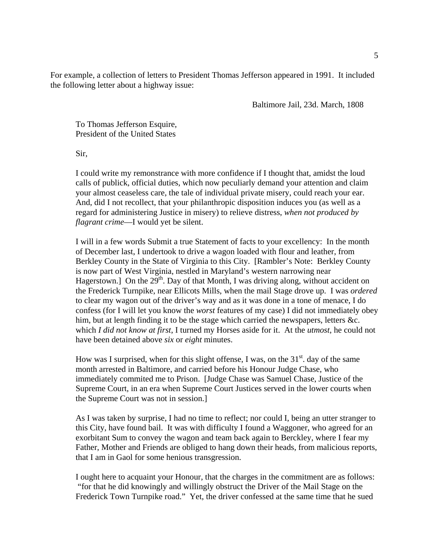For example, a collection of letters to President Thomas Jefferson appeared in 1991. It included the following letter about a highway issue:

Baltimore Jail, 23d. March, 1808

To Thomas Jefferson Esquire, President of the United States

Sir,

I could write my remonstrance with more confidence if I thought that, amidst the loud calls of publick, official duties, which now peculiarly demand your attention and claim your almost ceaseless care, the tale of individual private misery, could reach your ear. And, did I not recollect, that your philanthropic disposition induces you (as well as a regard for administering Justice in misery) to relieve distress, *when not produced by flagrant crime*—I would yet be silent.

I will in a few words Submit a true Statement of facts to your excellency: In the month of December last, I undertook to drive a wagon loaded with flour and leather, from Berkley County in the State of Virginia to this City. [Rambler's Note: Berkley County is now part of West Virginia, nestled in Maryland's western narrowing near Hagerstown.] On the  $29<sup>th</sup>$ . Day of that Month, I was driving along, without accident on the Frederick Turnpike, near Ellicots Mills, when the mail Stage drove up. I was *ordered* to clear my wagon out of the driver's way and as it was done in a tone of menace, I do confess (for I will let you know the *worst* features of my case) I did not immediately obey him, but at length finding it to be the stage which carried the newspapers, letters &c. which *I did not know at first*, I turned my Horses aside for it. At the *utmost*, he could not have been detained above *six* or *eight* minutes.

How was I surprised, when for this slight offense, I was, on the  $31<sup>st</sup>$  day of the same month arrested in Baltimore, and carried before his Honour Judge Chase, who immediately commited me to Prison. [Judge Chase was Samuel Chase, Justice of the Supreme Court, in an era when Supreme Court Justices served in the lower courts when the Supreme Court was not in session.]

As I was taken by surprise, I had no time to reflect; nor could I, being an utter stranger to this City, have found bail. It was with difficulty I found a Waggoner, who agreed for an exorbitant Sum to convey the wagon and team back again to Berckley, where I fear my Father, Mother and Friends are obliged to hang down their heads, from malicious reports, that I am in Gaol for some henious transgression.

I ought here to acquaint your Honour, that the charges in the commitment are as follows: "for that he did knowingly and willingly obstruct the Driver of the Mail Stage on the Frederick Town Turnpike road." Yet, the driver confessed at the same time that he sued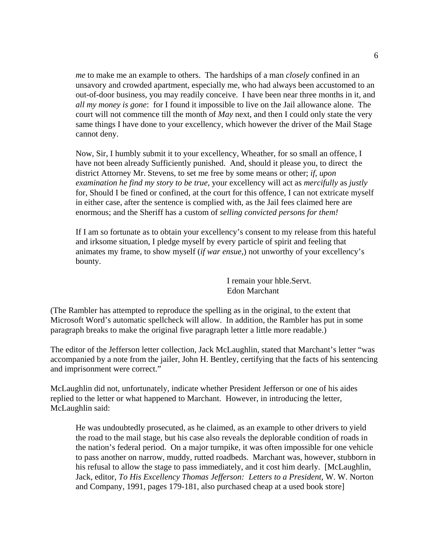*me* to make me an example to others. The hardships of a man *closely* confined in an unsavory and crowded apartment, especially me, who had always been accustomed to an out-of-door business, you may readily conceive. I have been near three months in it, and *all my money is gone*: for I found it impossible to live on the Jail allowance alone. The court will not commence till the month of *May* next, and then I could only state the very same things I have done to your excellency, which however the driver of the Mail Stage cannot deny.

Now, Sir, I humbly submit it to your excellency, Wheather, for so small an offence, I have not been already Sufficiently punished. And, should it please you, to direct the district Attorney Mr. Stevens, to set me free by some means or other; *if, upon examination he find my story to be true*, your excellency will act as *mercifully* as *justly* for, Should I be fined or confined, at the court for this offence, I can not extricate myself in either case, after the sentence is complied with, as the Jail fees claimed here are enormous; and the Sheriff has a custom of *selling convicted persons for them!*

If I am so fortunate as to obtain your excellency's consent to my release from this hateful and irksome situation, I pledge myself by every particle of spirit and feeling that animates my frame, to show myself (*if war ensue,*) not unworthy of your excellency's bounty.

> I remain your hble.Servt. Edon Marchant

(The Rambler has attempted to reproduce the spelling as in the original, to the extent that Microsoft Word's automatic spellcheck will allow. In addition, the Rambler has put in some paragraph breaks to make the original five paragraph letter a little more readable.)

The editor of the Jefferson letter collection, Jack McLaughlin, stated that Marchant's letter "was accompanied by a note from the jailer, John H. Bentley, certifying that the facts of his sentencing and imprisonment were correct."

McLaughlin did not, unfortunately, indicate whether President Jefferson or one of his aides replied to the letter or what happened to Marchant. However, in introducing the letter, McLaughlin said:

He was undoubtedly prosecuted, as he claimed, as an example to other drivers to yield the road to the mail stage, but his case also reveals the deplorable condition of roads in the nation's federal period. On a major turnpike, it was often impossible for one vehicle to pass another on narrow, muddy, rutted roadbeds. Marchant was, however, stubborn in his refusal to allow the stage to pass immediately, and it cost him dearly. [McLaughlin, Jack, editor, *To His Excellency Thomas Jefferson: Letters to a President*, W. W. Norton and Company, 1991, pages 179-181, also purchased cheap at a used book store]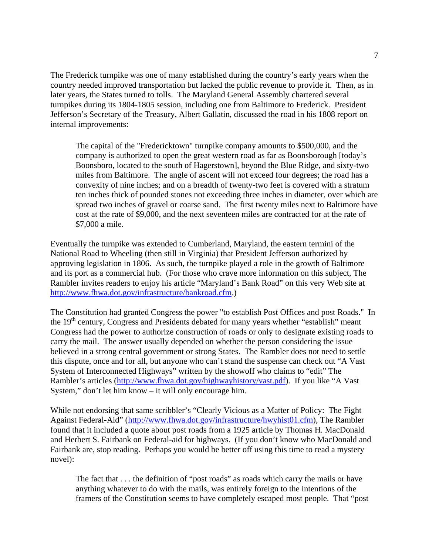The Frederick turnpike was one of many established during the country's early years when the country needed improved transportation but lacked the public revenue to provide it. Then, as in later years, the States turned to tolls. The Maryland General Assembly chartered several turnpikes during its 1804-1805 session, including one from Baltimore to Frederick. President Jefferson's Secretary of the Treasury, Albert Gallatin, discussed the road in his 1808 report on internal improvements:

The capital of the "Fredericktown" turnpike company amounts to \$500,000, and the company is authorized to open the great western road as far as Boonsborough [today's Boonsboro, located to the south of Hagerstown], beyond the Blue Ridge, and sixty-two miles from Baltimore. The angle of ascent will not exceed four degrees; the road has a convexity of nine inches; and on a breadth of twenty-two feet is covered with a stratum ten inches thick of pounded stones not exceeding three inches in diameter, over which are spread two inches of gravel or coarse sand. The first twenty miles next to Baltimore have cost at the rate of \$9,000, and the next seventeen miles are contracted for at the rate of \$7,000 a mile.

Eventually the turnpike was extended to Cumberland, Maryland, the eastern termini of the National Road to Wheeling (then still in Virginia) that President Jefferson authorized by approving legislation in 1806. As such, the turnpike played a role in the growth of Baltimore and its port as a commercial hub. (For those who crave more information on this subject, The Rambler invites readers to enjoy his article "Maryland's Bank Road" on this very Web site at [http://www.fhwa.dot.gov/infrastructure/bankroad.cfm.](http://www.fhwa.dot.gov/infrastructure/bankroad.cfm))

The Constitution had granted Congress the power "to establish Post Offices and post Roads." In the 19<sup>th</sup> century, Congress and Presidents debated for many years whether "establish" meant Congress had the power to authorize construction of roads or only to designate existing roads to carry the mail. The answer usually depended on whether the person considering the issue believed in a strong central government or strong States. The Rambler does not need to settle this dispute, once and for all, but anyone who can't stand the suspense can check out "A Vast System of Interconnected Highways" written by the showoff who claims to "edit" The Rambler's articles [\(http://www.fhwa.dot.gov/highwayhistory/vast.pdf\)](http://www.fhwa.dot.gov/highwayhistory/vast.pdf). If you like "A Vast System," don't let him know – it will only encourage him.

While not endorsing that same scribbler's "Clearly Vicious as a Matter of Policy: The Fight Against Federal-Aid" [\(http://www.fhwa.dot.gov/infrastructure/hwyhist01.cfm\)](http://www.fhwa.dot.gov/infrastructure/hwyhist01.cfm), The Rambler found that it included a quote about post roads from a 1925 article by Thomas H. MacDonald and Herbert S. Fairbank on Federal-aid for highways. (If you don't know who MacDonald and Fairbank are, stop reading. Perhaps you would be better off using this time to read a mystery novel):

The fact that . . . the definition of "post roads" as roads which carry the mails or have anything whatever to do with the mails, was entirely foreign to the intentions of the framers of the Constitution seems to have completely escaped most people. That "post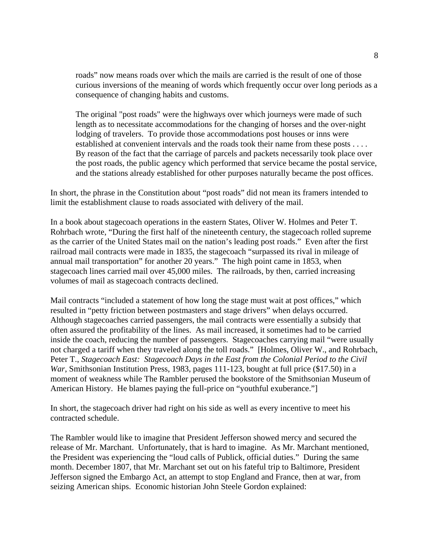roads" now means roads over which the mails are carried is the result of one of those curious inversions of the meaning of words which frequently occur over long periods as a consequence of changing habits and customs.

The original "post roads" were the highways over which journeys were made of such length as to necessitate accommodations for the changing of horses and the over-night lodging of travelers. To provide those accommodations post houses or inns were established at convenient intervals and the roads took their name from these posts . . . . By reason of the fact that the carriage of parcels and packets necessarily took place over the post roads, the public agency which performed that service became the postal service, and the stations already established for other purposes naturally became the post offices.

In short, the phrase in the Constitution about "post roads" did not mean its framers intended to limit the establishment clause to roads associated with delivery of the mail.

In a book about stagecoach operations in the eastern States, Oliver W. Holmes and Peter T. Rohrbach wrote, "During the first half of the nineteenth century, the stagecoach rolled supreme as the carrier of the United States mail on the nation's leading post roads." Even after the first railroad mail contracts were made in 1835, the stagecoach "surpassed its rival in mileage of annual mail transportation" for another 20 years." The high point came in 1853, when stagecoach lines carried mail over 45,000 miles. The railroads, by then, carried increasing volumes of mail as stagecoach contracts declined.

Mail contracts "included a statement of how long the stage must wait at post offices," which resulted in "petty friction between postmasters and stage drivers" when delays occurred. Although stagecoaches carried passengers, the mail contracts were essentially a subsidy that often assured the profitability of the lines. As mail increased, it sometimes had to be carried inside the coach, reducing the number of passengers. Stagecoaches carrying mail "were usually not charged a tariff when they traveled along the toll roads." [Holmes, Oliver W., and Rohrbach, Peter T., *Stagecoach East: Stagecoach Days in the East from the Colonial Period to the Civil War*, Smithsonian Institution Press, 1983, pages 111-123, bought at full price (\$17.50) in a moment of weakness while The Rambler perused the bookstore of the Smithsonian Museum of American History. He blames paying the full-price on "youthful exuberance."]

In short, the stagecoach driver had right on his side as well as every incentive to meet his contracted schedule.

The Rambler would like to imagine that President Jefferson showed mercy and secured the release of Mr. Marchant. Unfortunately, that is hard to imagine. As Mr. Marchant mentioned, the President was experiencing the "loud calls of Publick, official duties." During the same month. December 1807, that Mr. Marchant set out on his fateful trip to Baltimore, President Jefferson signed the Embargo Act, an attempt to stop England and France, then at war, from seizing American ships. Economic historian John Steele Gordon explained: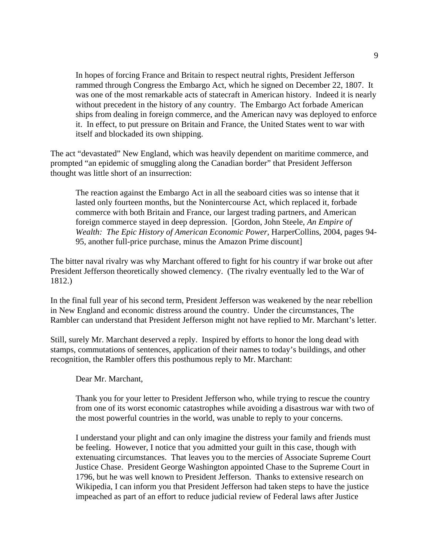In hopes of forcing France and Britain to respect neutral rights, President Jefferson rammed through Congress the Embargo Act, which he signed on December 22, 1807. It was one of the most remarkable acts of statecraft in American history. Indeed it is nearly without precedent in the history of any country. The Embargo Act forbade American ships from dealing in foreign commerce, and the American navy was deployed to enforce it. In effect, to put pressure on Britain and France, the United States went to war with itself and blockaded its own shipping.

The act "devastated" New England, which was heavily dependent on maritime commerce, and prompted "an epidemic of smuggling along the Canadian border" that President Jefferson thought was little short of an insurrection:

The reaction against the Embargo Act in all the seaboard cities was so intense that it lasted only fourteen months, but the Nonintercourse Act, which replaced it, forbade commerce with both Britain and France, our largest trading partners, and American foreign commerce stayed in deep depression. [Gordon, John Steele, *An Empire of Wealth: The Epic History of American Economic Power*, HarperCollins, 2004, pages 94- 95, another full-price purchase, minus the Amazon Prime discount]

The bitter naval rivalry was why Marchant offered to fight for his country if war broke out after President Jefferson theoretically showed clemency. (The rivalry eventually led to the War of 1812.)

In the final full year of his second term, President Jefferson was weakened by the near rebellion in New England and economic distress around the country. Under the circumstances, The Rambler can understand that President Jefferson might not have replied to Mr. Marchant's letter.

Still, surely Mr. Marchant deserved a reply. Inspired by efforts to honor the long dead with stamps, commutations of sentences, application of their names to today's buildings, and other recognition, the Rambler offers this posthumous reply to Mr. Marchant:

Dear Mr. Marchant,

Thank you for your letter to President Jefferson who, while trying to rescue the country from one of its worst economic catastrophes while avoiding a disastrous war with two of the most powerful countries in the world, was unable to reply to your concerns.

I understand your plight and can only imagine the distress your family and friends must be feeling. However, I notice that you admitted your guilt in this case, though with extenuating circumstances. That leaves you to the mercies of Associate Supreme Court Justice Chase. President George Washington appointed Chase to the Supreme Court in 1796, but he was well known to President Jefferson. Thanks to extensive research on Wikipedia, I can inform you that President Jefferson had taken steps to have the justice impeached as part of an effort to reduce judicial review of Federal laws after Justice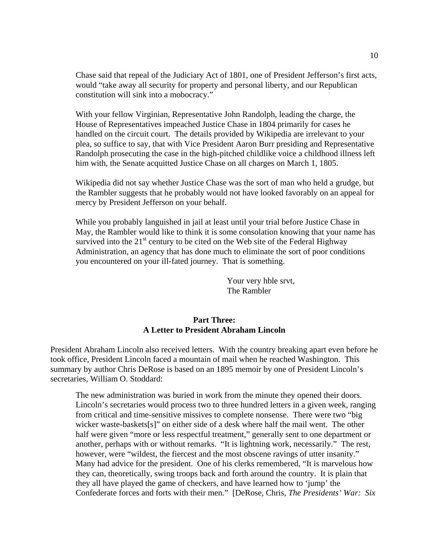Chase said that repeal of the Judiciary Act of 1801, one of President Jefferson's first acts, would "take away all security for property and personal liberty, and our Republican constitution will sink into a mobocracy."

With your fellow Virginian, Representative John Randolph, leading the charge, the House of Representatives impeached Justice Chase in 1804 primarily for cases he handled on the circuit court. The details provided by Wikipedia are irrelevant to your plea, so suffice to say, that with Vice President Aaron Burr presiding and Representative Randolph prosecuting the case in the high-pitched childlike voice a childhood illness left him with, the Senate acquitted Justice Chase on all charges on March 1, 1805.

Wikipedia did not say whether Justice Chase was the sort of man who held a grudge, but the Rambler suggests that he probably would not have looked favorably on an appeal for mercy by President Jefferson on your behalf.

While you probably languished in jail at least until your trial before Justice Chase in May, the Rambler would like to think it is some consolation knowing that your name has survived into the  $21<sup>st</sup>$  century to be cited on the Web site of the Federal Highway Administration, an agency that has done much to eliminate the sort of poor conditions you encountered on your ill-fated journey. That is something.

> Your very hble srvt, The Rambler

### **Part Three: A Letter to President Abraham Lincoln**

President Abraham Lincoln also received letters. With the country breaking apart even before he took office, President Lincoln faced a mountain of mail when he reached Washington. This summary by author Chris DeRose is based on an 1895 memoir by one of President Lincoln's secretaries, William O. Stoddard:

The new administration was buried in work from the minute they opened their doors. Lincoln's secretaries would process two to three hundred letters in a given week, ranging from critical and time-sensitive missives to complete nonsense. There were two "big wicker waste-baskets[s]" on either side of a desk where half the mail went. The other half were given "more or less respectful treatment," generally sent to one department or another, perhaps with or without remarks. "It is lightning work, necessarily." The rest, however, were "wildest, the fiercest and the most obscene ravings of utter insanity." Many had advice for the president. One of his clerks remembered, "It is marvelous how they can, theoretically, swing troops back and forth around the country. It is plain that they all have played the game of checkers, and have learned how to 'jump' the Confederate forces and forts with their men." [DeRose, Chris, *The Presidents' War: Six*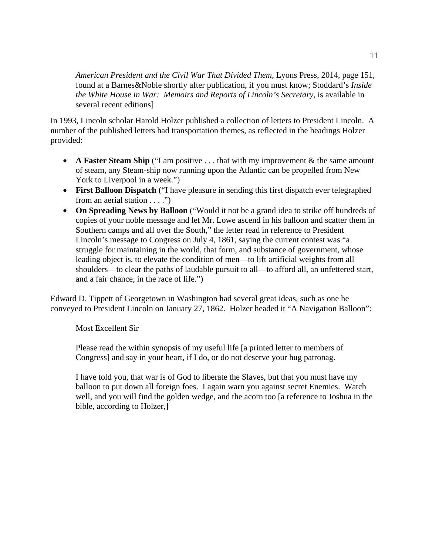*American President and the Civil War That Divided Them*, Lyons Press, 2014, page 151, found at a Barnes&Noble shortly after publication, if you must know; Stoddard's *Inside the White House in War: Memoirs and Reports of Lincoln's Secretary*, is available in several recent editions]

In 1993, Lincoln scholar Harold Holzer published a collection of letters to President Lincoln. A number of the published letters had transportation themes, as reflected in the headings Holzer provided:

- **A Faster Steam Ship** ("I am positive . . . that with my improvement & the same amount of steam, any Steam-ship now running upon the Atlantic can be propelled from New York to Liverpool in a week.")
- **First Balloon Dispatch** ("I have pleasure in sending this first dispatch ever telegraphed from an aerial station . . . .")
- **On Spreading News by Balloon** ("Would it not be a grand idea to strike off hundreds of copies of your noble message and let Mr. Lowe ascend in his balloon and scatter them in Southern camps and all over the South," the letter read in reference to President Lincoln's message to Congress on July 4, 1861, saying the current contest was "a struggle for maintaining in the world, that form, and substance of government, whose leading object is, to elevate the condition of men—to lift artificial weights from all shoulders—to clear the paths of laudable pursuit to all—to afford all, an unfettered start, and a fair chance, in the race of life.")

Edward D. Tippett of Georgetown in Washington had several great ideas, such as one he conveyed to President Lincoln on January 27, 1862. Holzer headed it "A Navigation Balloon":

Most Excellent Sir

Please read the within synopsis of my useful life [a printed letter to members of Congress] and say in your heart, if I do, or do not deserve your hug patronag.

I have told you, that war is of God to liberate the Slaves, but that you must have my balloon to put down all foreign foes. I again warn you against secret Enemies. Watch well, and you will find the golden wedge, and the acorn too [a reference to Joshua in the bible, according to Holzer,]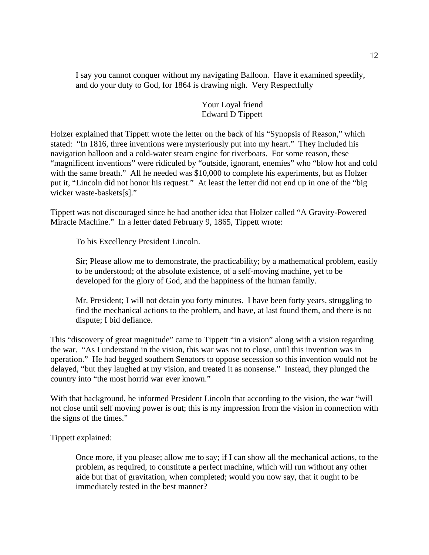I say you cannot conquer without my navigating Balloon. Have it examined speedily, and do your duty to God, for 1864 is drawing nigh. Very Respectfully

# Your Loyal friend Edward D Tippett

Holzer explained that Tippett wrote the letter on the back of his "Synopsis of Reason," which stated: "In 1816, three inventions were mysteriously put into my heart." They included his navigation balloon and a cold-water steam engine for riverboats. For some reason, these "magnificent inventions" were ridiculed by "outside, ignorant, enemies" who "blow hot and cold with the same breath." All he needed was \$10,000 to complete his experiments, but as Holzer put it, "Lincoln did not honor his request." At least the letter did not end up in one of the "big wicker waste-baskets[s]."

Tippett was not discouraged since he had another idea that Holzer called "A Gravity-Powered Miracle Machine." In a letter dated February 9, 1865, Tippett wrote:

To his Excellency President Lincoln.

Sir; Please allow me to demonstrate, the practicability; by a mathematical problem, easily to be understood; of the absolute existence, of a self-moving machine, yet to be developed for the glory of God, and the happiness of the human family.

Mr. President; I will not detain you forty minutes. I have been forty years, struggling to find the mechanical actions to the problem, and have, at last found them, and there is no dispute; I bid defiance.

This "discovery of great magnitude" came to Tippett "in a vision" along with a vision regarding the war. "As I understand in the vision, this war was not to close, until this invention was in operation." He had begged southern Senators to oppose secession so this invention would not be delayed, "but they laughed at my vision, and treated it as nonsense." Instead, they plunged the country into "the most horrid war ever known."

With that background, he informed President Lincoln that according to the vision, the war "will not close until self moving power is out; this is my impression from the vision in connection with the signs of the times."

Tippett explained:

Once more, if you please; allow me to say; if I can show all the mechanical actions, to the problem, as required, to constitute a perfect machine, which will run without any other aide but that of gravitation, when completed; would you now say, that it ought to be immediately tested in the best manner?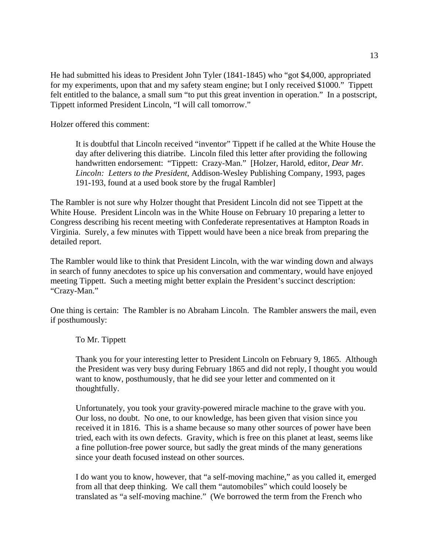He had submitted his ideas to President John Tyler (1841-1845) who "got \$4,000, appropriated for my experiments, upon that and my safety steam engine; but I only received \$1000." Tippett felt entitled to the balance, a small sum "to put this great invention in operation." In a postscript, Tippett informed President Lincoln, "I will call tomorrow."

Holzer offered this comment:

It is doubtful that Lincoln received "inventor" Tippett if he called at the White House the day after delivering this diatribe. Lincoln filed this letter after providing the following handwritten endorsement: "Tippett: Crazy-Man." [Holzer, Harold, editor, *Dear Mr. Lincoln: Letters to the President*, Addison-Wesley Publishing Company, 1993, pages 191-193, found at a used book store by the frugal Rambler]

The Rambler is not sure why Holzer thought that President Lincoln did not see Tippett at the White House. President Lincoln was in the White House on February 10 preparing a letter to Congress describing his recent meeting with Confederate representatives at Hampton Roads in Virginia. Surely, a few minutes with Tippett would have been a nice break from preparing the detailed report.

The Rambler would like to think that President Lincoln, with the war winding down and always in search of funny anecdotes to spice up his conversation and commentary, would have enjoyed meeting Tippett. Such a meeting might better explain the President's succinct description: "Crazy-Man."

One thing is certain: The Rambler is no Abraham Lincoln. The Rambler answers the mail, even if posthumously:

To Mr. Tippett

Thank you for your interesting letter to President Lincoln on February 9, 1865. Although the President was very busy during February 1865 and did not reply, I thought you would want to know, posthumously, that he did see your letter and commented on it thoughtfully.

Unfortunately, you took your gravity-powered miracle machine to the grave with you. Our loss, no doubt. No one, to our knowledge, has been given that vision since you received it in 1816. This is a shame because so many other sources of power have been tried, each with its own defects. Gravity, which is free on this planet at least, seems like a fine pollution-free power source, but sadly the great minds of the many generations since your death focused instead on other sources.

I do want you to know, however, that "a self-moving machine," as you called it, emerged from all that deep thinking. We call them "automobiles" which could loosely be translated as "a self-moving machine." (We borrowed the term from the French who